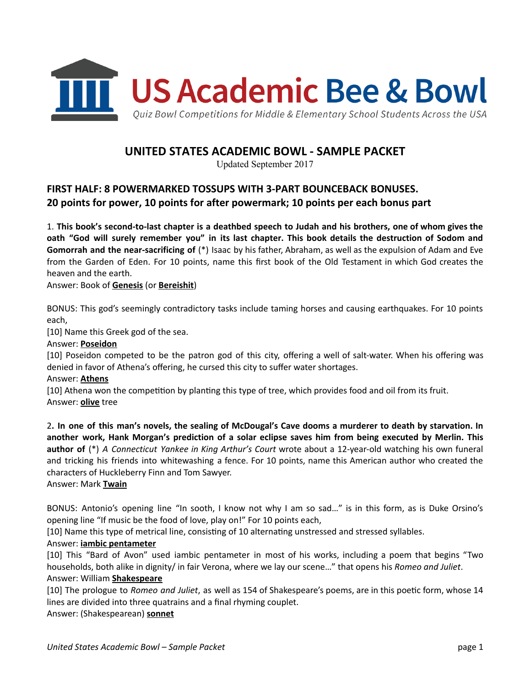

# UNITED STATES ACADEMIC BOWL - SAMPLE PACKET

Updated September 2017

# FIRST HALF: 8 POWERMARKED TOSSUPS WITH 3-PART BOUNCEBACK BONUSES. 20 points for power, 10 points for after powermark; 10 points per each bonus part

1. This book's second-to-last chapter is a deathbed speech to Judah and his brothers, one of whom gives the oath "God will surely remember you" in its last chapter. This book details the destruction of Sodom and Gomorrah and the near-sacrificing of (\*) Isaac by his father, Abraham, as well as the expulsion of Adam and Eve from the Garden of Eden. For 10 points, name this first book of the Old Testament in which God creates the heaven and the earth.

Answer: Book of Genesis (or Bereishit)

BONUS: This god's seemingly contradictory tasks include taming horses and causing earthquakes. For 10 points each,

[10] Name this Greek god of the sea.

### Answer: Poseidon

[10] Poseidon competed to be the patron god of this city, offering a well of salt-water. When his offering was denied in favor of Athena's offering, he cursed this city to suffer water shortages.

#### Answer: Athens

[10] Athena won the competition by planting this type of tree, which provides food and oil from its fruit. Answer: olive tree

2. In one of this man's novels, the sealing of McDougal's Cave dooms a murderer to death by starvation. In another work, Hank Morgan's prediction of a solar eclipse saves him from being executed by Merlin. This author of (\*) A Connecticut Yankee in King Arthur's Court wrote about a 12-year-old watching his own funeral and tricking his friends into whitewashing a fence. For 10 points, name this American author who created the characters of Huckleberry Finn and Tom Sawyer.

# Answer: Mark Twain

BONUS: Antonio's opening line "In sooth, I know not why I am so sad…" is in this form, as is Duke Orsino's opening line "If music be the food of love, play on!" For 10 points each,

[10] Name this type of metrical line, consisting of 10 alternating unstressed and stressed syllables.

# Answer: iambic pentameter

[10] This "Bard of Avon" used iambic pentameter in most of his works, including a poem that begins "Two households, both alike in dignity/ in fair Verona, where we lay our scene..." that opens his Romeo and Juliet. Answer: William Shakespeare

[10] The prologue to Romeo and Juliet, as well as 154 of Shakespeare's poems, are in this poetic form, whose 14 lines are divided into three quatrains and a final rhyming couplet.

Answer: (Shakespearean) sonnet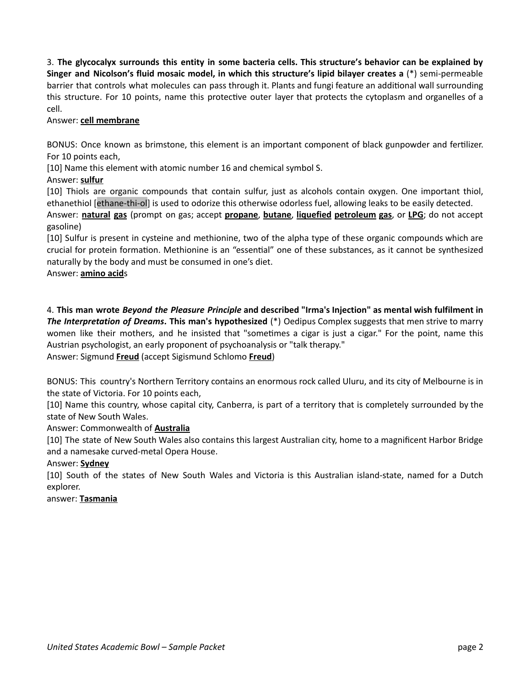3. The glycocalyx surrounds this entity in some bacteria cells. This structure's behavior can be explained by Singer and Nicolson's fluid mosaic model, in which this structure's lipid bilayer creates a (\*) semi-permeable barrier that controls what molecules can pass through it. Plants and fungi feature an additional wall surrounding this structure. For 10 points, name this protective outer layer that protects the cytoplasm and organelles of a cell.

# Answer: cell membrane

BONUS: Once known as brimstone, this element is an important component of black gunpowder and fertilizer. For 10 points each,

[10] Name this element with atomic number 16 and chemical symbol S.

# Answer: sulfur

[10] Thiols are organic compounds that contain sulfur, just as alcohols contain oxygen. One important thiol, ethanethiol [ethane-thi-ol] is used to odorize this otherwise odorless fuel, allowing leaks to be easily detected. Answer: natural gas (prompt on gas; accept propane, butane, liquefied petroleum gas, or LPG; do not accept gasoline)

[10] Sulfur is present in cysteine and methionine, two of the alpha type of these organic compounds which are crucial for protein formation. Methionine is an "essential" one of these substances, as it cannot be synthesized naturally by the body and must be consumed in one's diet.

# Answer: amino acids

4. This man wrote Beyond the Pleasure Principle and described "Irma's Injection" as mental wish fulfilment in The Interpretation of Dreams. This man's hypothesized (\*) Oedipus Complex suggests that men strive to marry women like their mothers, and he insisted that "sometimes a cigar is just a cigar." For the point, name this Austrian psychologist, an early proponent of psychoanalysis or "talk therapy." Answer: Sigmund Freud (accept Sigismund Schlomo Freud)

BONUS: This country's Northern Territory contains an enormous rock called Uluru, and its city of Melbourne is in the state of Victoria. For 10 points each,

[10] Name this country, whose capital city, Canberra, is part of a territory that is completely surrounded by the state of New South Wales.

# Answer: Commonwealth of Australia

[10] The state of New South Wales also contains this largest Australian city, home to a magnificent Harbor Bridge and a namesake curved-metal Opera House.

# Answer: Sydney

[10] South of the states of New South Wales and Victoria is this Australian island-state, named for a Dutch explorer.

# answer: Tasmania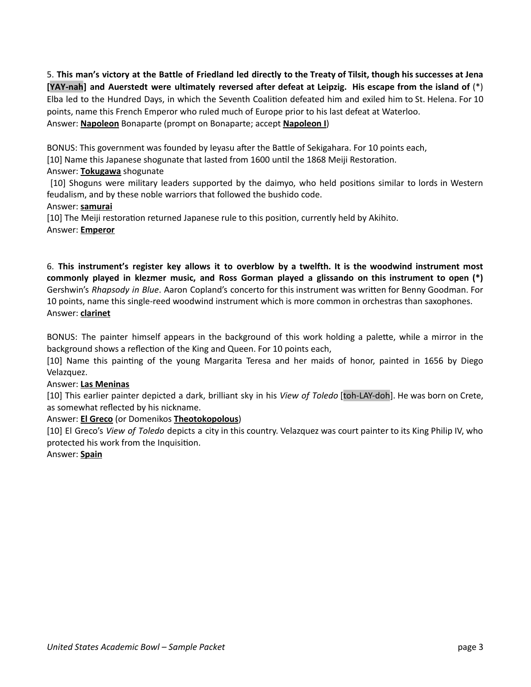5. This man's victory at the Battle of Friedland led directly to the Treaty of Tilsit, though his successes at Jena [YAY-nah] and Auerstedt were ultimately reversed after defeat at Leipzig. His escape from the island of (\*) Elba led to the Hundred Days, in which the Seventh Coalition defeated him and exiled him to St. Helena. For 10 points, name this French Emperor who ruled much of Europe prior to his last defeat at Waterloo. Answer: **Napoleon** Bonaparte (prompt on Bonaparte; accept **Napoleon I)** 

BONUS: This government was founded by Ieyasu after the Battle of Sekigahara. For 10 points each,

[10] Name this Japanese shogunate that lasted from 1600 until the 1868 Meiji Restoration.

# Answer: Tokugawa shogunate

[10] Shoguns were military leaders supported by the daimyo, who held positions similar to lords in Western feudalism, and by these noble warriors that followed the bushido code.

# Answer: samurai

[10] The Meiji restoration returned Japanese rule to this position, currently held by Akihito. Answer: Emperor

6. This instrument's register key allows it to overblow by a twelfth. It is the woodwind instrument most commonly played in klezmer music, and Ross Gorman played a glissando on this instrument to open (\*) Gershwin's Rhapsody in Blue. Aaron Copland's concerto for this instrument was written for Benny Goodman. For 10 points, name this single-reed woodwind instrument which is more common in orchestras than saxophones. Answer: clarinet

BONUS: The painter himself appears in the background of this work holding a palette, while a mirror in the background shows a reflection of the King and Queen. For 10 points each,

[10] Name this painting of the young Margarita Teresa and her maids of honor, painted in 1656 by Diego Velazquez.

# Answer: Las Meninas

[10] This earlier painter depicted a dark, brilliant sky in his View of Toledo [toh-LAY-doh]. He was born on Crete, as somewhat reflected by his nickname.

# Answer: **El Greco** (or Domenikos Theotokopolous)

[10] El Greco's View of Toledo depicts a city in this country. Velazquez was court painter to its King Philip IV, who protected his work from the Inquisition.

# Answer: Spain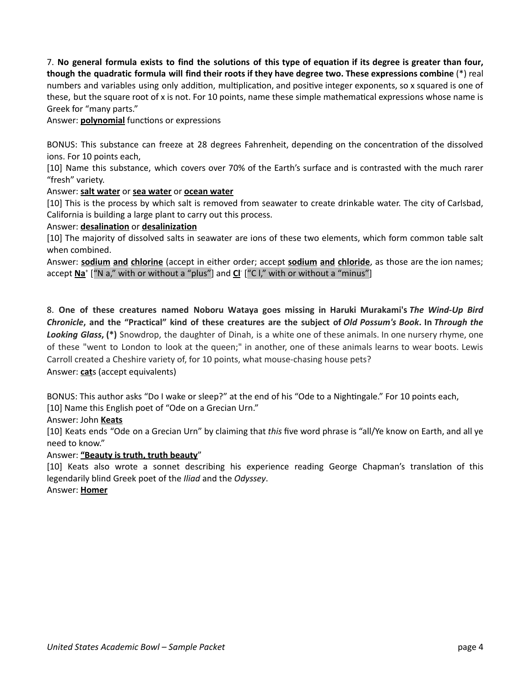7. No general formula exists to find the solutions of this type of equation if its degree is greater than four, though the quadratic formula will find their roots if they have degree two. These expressions combine (\*) real numbers and variables using only addition, multiplication, and positive integer exponents, so x squared is one of these, but the square root of x is not. For 10 points, name these simple mathematical expressions whose name is Greek for "many parts."

Answer: polynomial functions or expressions

BONUS: This substance can freeze at 28 degrees Fahrenheit, depending on the concentration of the dissolved ions. For 10 points each,

[10] Name this substance, which covers over 70% of the Earth's surface and is contrasted with the much rarer "fresh" variety.

# Answer: salt water or sea water or ocean water

[10] This is the process by which salt is removed from seawater to create drinkable water. The city of Carlsbad, California is building a large plant to carry out this process.

# Answer: desalination or desalinization

[10] The majority of dissolved salts in seawater are ions of these two elements, which form common table salt when combined.

Answer: sodium and chlorine (accept in either order; accept sodium and chloride, as those are the ion names; accept <u>Na</u>† ["N a," with or without a "plus"] and <u>Cl</u> ["C I," with or without a "minus"]

8. One of these creatures named Noboru Wataya goes missing in Haruki Murakami's The Wind-Up Bird Chronicle, and the "Practical" kind of these creatures are the subject of Old Possum's Book. In Through the Looking Glass, (\*) Snowdrop, the daughter of Dinah, is a white one of these animals. In one nursery rhyme, one of these "went to London to look at the queen;" in another, one of these animals learns to wear boots. Lewis Carroll created a Cheshire variety of, for 10 points, what mouse-chasing house pets? Answer: cats (accept equivalents)

BONUS: This author asks "Do I wake or sleep?" at the end of his "Ode to a Nightingale." For 10 points each,

[10] Name this English poet of "Ode on a Grecian Urn."

Answer: John Keats

[10] Keats ends "Ode on a Grecian Urn" by claiming that this five word phrase is "all/Ye know on Earth, and all ye need to know."

# Answer: "Beauty is truth, truth beauty"

[10] Keats also wrote a sonnet describing his experience reading George Chapman's translation of this legendarily blind Greek poet of the Iliad and the Odyssey.

Answer: Homer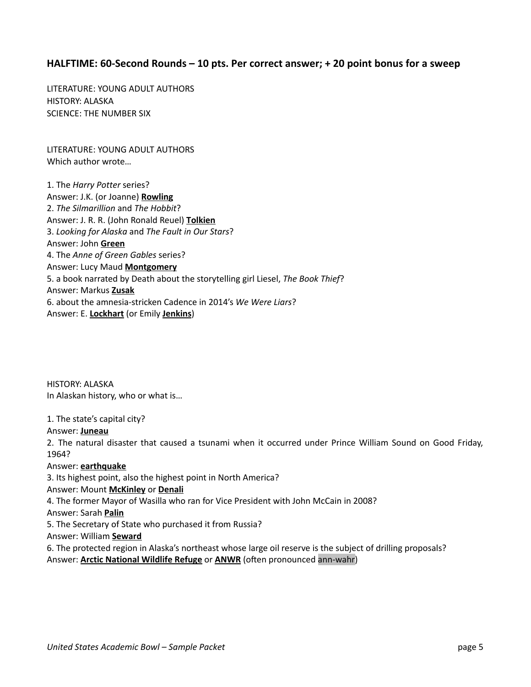# HALFTIME: 60-Second Rounds – 10 pts. Per correct answer; + 20 point bonus for a sweep

LITERATURE: YOUNG ADULT AUTHORS HISTORY: ALASKA SCIENCE: THE NUMBER SIX

LITERATURE: YOUNG ADULT AUTHORS Which author wrote…

1. The Harry Potter series? Answer: J.K. (or Joanne) Rowling 2. The Silmarillion and The Hobbit? Answer: J. R. R. (John Ronald Reuel) Tolkien 3. Looking for Alaska and The Fault in Our Stars? Answer: John Green 4. The Anne of Green Gables series? Answer: Lucy Maud **Montgomery** 5. a book narrated by Death about the storytelling girl Liesel, The Book Thief? Answer: Markus Zusak 6. about the amnesia-stricken Cadence in 2014's We Were Liars? Answer: E. Lockhart (or Emily Jenkins)

HISTORY: ALASKA In Alaskan history, who or what is…

#### 1. The state's capital city?

#### Answer: Juneau

2. The natural disaster that caused a tsunami when it occurred under Prince William Sound on Good Friday, 1964?

#### Answer: earthquake

3. Its highest point, also the highest point in North America?

#### Answer: Mount McKinley or Denali

4. The former Mayor of Wasilla who ran for Vice President with John McCain in 2008?

Answer: Sarah Palin

5. The Secretary of State who purchased it from Russia?

# Answer: William Seward

6. The protected region in Alaska's northeast whose large oil reserve is the subject of drilling proposals? Answer: **Arctic National Wildlife Refuge** or **ANWR** (often pronounced ann-wahr)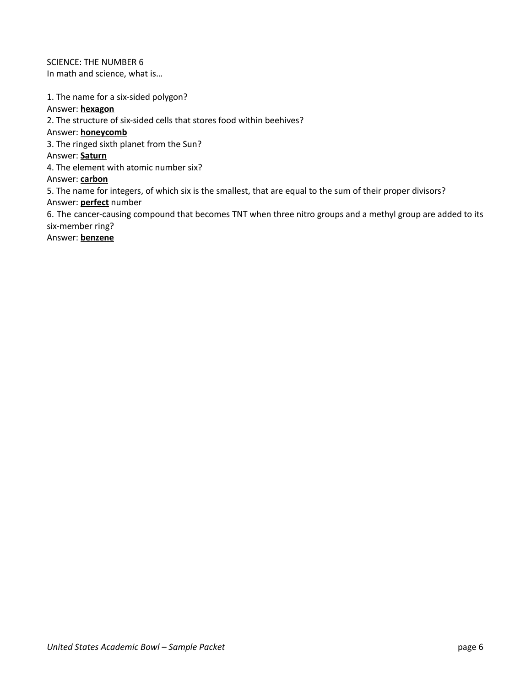SCIENCE: THE NUMBER 6 In math and science, what is…

1. The name for a six-sided polygon? Answer: hexagon 2. The structure of six-sided cells that stores food within beehives? Answer: honeycomb 3. The ringed sixth planet from the Sun? Answer: Saturn 4. The element with atomic number six? Answer: carbon 5. The name for integers, of which six is the smallest, that are equal to the sum of their proper divisors? Answer: **perfect** number 6. The cancer-causing compound that becomes TNT when three nitro groups and a methyl group are added to its six-member ring? Answer: **benzene**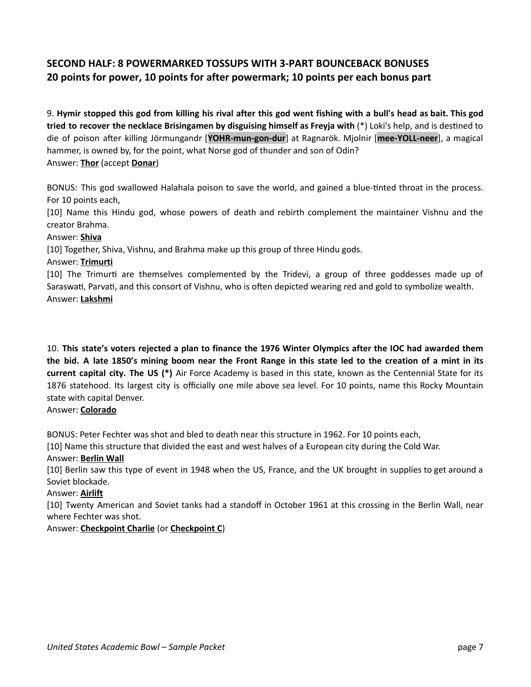# SECOND HALF: 8 POWERMARKED TOSSUPS WITH 3-PART BOUNCEBACK BONUSES 20 points for power, 10 points for after powermark; 10 points per each bonus part

9. Hymir stopped this god from killing his rival after this god went fishing with a bull's head as bait. This god tried to recover the necklace Brisingamen by disguising himself as Freyja with  $(*)$  Loki's help, and is destined to die of poison after killing Jörmungandr [YOHR-mun-gon-dur] at Ragnarök. Mjolnir [mee-YOLL-neer], a magical hammer, is owned by, for the point, what Norse god of thunder and son of Odin? Answer: Thor (accept Donar)

BONUS: This god swallowed Halahala poison to save the world, and gained a blue-tinted throat in the process. For 10 points each,

[10] Name this Hindu god, whose powers of death and rebirth complement the maintainer Vishnu and the creator Brahma.

# Answer: Shiva

[10] Together, Shiva, Vishnu, and Brahma make up this group of three Hindu gods.

# Answer: Trimurti

[10] The Trimurti are themselves complemented by the Tridevi, a group of three goddesses made up of Saraswati, Parvati, and this consort of Vishnu, who is often depicted wearing red and gold to symbolize wealth. Answer: Lakshmi

10. This state's voters rejected a plan to finance the 1976 Winter Olympics after the IOC had awarded them the bid. A late 1850's mining boom near the Front Range in this state led to the creation of a mint in its current capital city. The US (\*) Air Force Academy is based in this state, known as the Centennial State for its 1876 statehood. Its largest city is officially one mile above sea level. For 10 points, name this Rocky Mountain state with capital Denver.

# Answer: Colorado

BONUS: Peter Fechter was shot and bled to death near this structure in 1962. For 10 points each,

[10] Name this structure that divided the east and west halves of a European city during the Cold War.

# Answer: Berlin Wall

[10] Berlin saw this type of event in 1948 when the US, France, and the UK brought in supplies to get around a Soviet blockade.

# Answer: Airlift

[10] Twenty American and Soviet tanks had a standoff in October 1961 at this crossing in the Berlin Wall, near where Fechter was shot.

# Answer: Checkpoint Charlie (or Checkpoint C)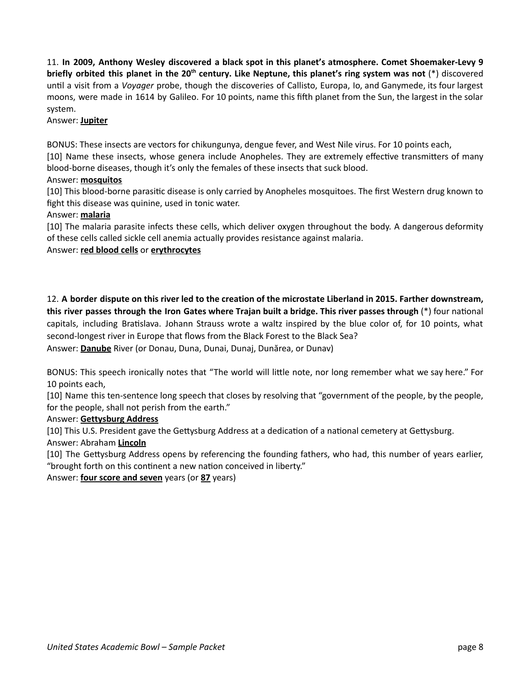11. In 2009, Anthony Wesley discovered a black spot in this planet's atmosphere. Comet Shoemaker-Levy 9 briefly orbited this planet in the 20<sup>th</sup> century. Like Neptune, this planet's ring system was not (\*) discovered until a visit from a Voyager probe, though the discoveries of Callisto, Europa, Io, and Ganymede, its four largest moons, were made in 1614 by Galileo. For 10 points, name this fih planet from the Sun, the largest in the solar system.

# Answer: Jupiter

BONUS: These insects are vectors for chikungunya, dengue fever, and West Nile virus. For 10 points each,

[10] Name these insects, whose genera include Anopheles. They are extremely effective transmitters of many blood-borne diseases, though it's only the females of these insects that suck blood.

# Answer: mosquitos

[10] This blood-borne parasitic disease is only carried by Anopheles mosquitoes. The first Western drug known to fight this disease was quinine, used in tonic water.

# Answer: malaria

[10] The malaria parasite infects these cells, which deliver oxygen throughout the body. A dangerous deformity of these cells called sickle cell anemia actually provides resistance against malaria.

# Answer: red blood cells or erythrocytes

12. A border dispute on this river led to the creation of the microstate Liberland in 2015. Farther downstream, this river passes through the Iron Gates where Trajan built a bridge. This river passes through  $(*)$  four national capitals, including Bratislava. Johann Strauss wrote a waltz inspired by the blue color of, for 10 points, what second-longest river in Europe that flows from the Black Forest to the Black Sea?

Answer: Danube River (or Donau, Duna, Dunai, Dunaj, Dunărea, or Dunav)

BONUS: This speech ironically notes that "The world will little note, nor long remember what we say here." For 10 points each,

[10] Name this ten-sentence long speech that closes by resolving that "government of the people, by the people, for the people, shall not perish from the earth."

# Answer: Gettysburg Address

[10] This U.S. President gave the Gettysburg Address at a dedication of a national cemetery at Gettysburg. Answer: Abraham Lincoln

[10] The Gettysburg Address opens by referencing the founding fathers, who had, this number of years earlier, "brought forth on this continent a new nation conceived in liberty."

Answer: four score and seven years (or 87 years)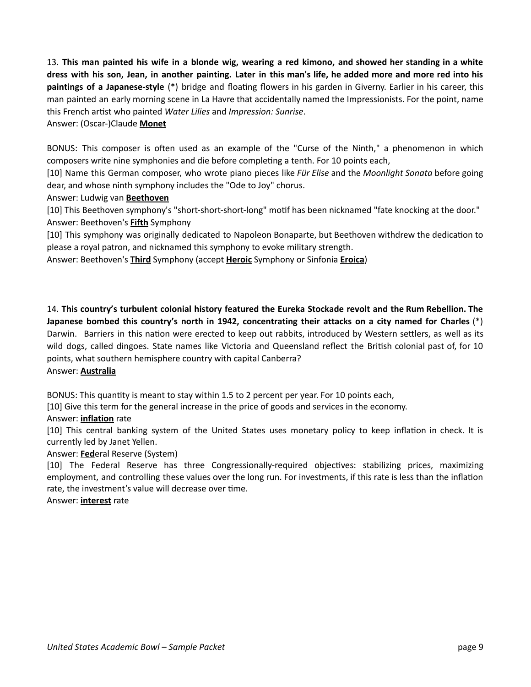13. This man painted his wife in a blonde wig, wearing a red kimono, and showed her standing in a white dress with his son, Jean, in another painting. Later in this man's life, he added more and more red into his paintings of a Japanese-style (\*) bridge and floating flowers in his garden in Giverny. Earlier in his career, this man painted an early morning scene in La Havre that accidentally named the Impressionists. For the point, name this French artist who painted Water Lilies and Impression: Sunrise.

# Answer: (Oscar-)Claude Monet

BONUS: This composer is often used as an example of the "Curse of the Ninth," a phenomenon in which composers write nine symphonies and die before completing a tenth. For 10 points each,

[10] Name this German composer, who wrote piano pieces like Für Elise and the Moonlight Sonata before going dear, and whose ninth symphony includes the "Ode to Joy" chorus.

# Answer: Ludwig van Beethoven

[10] This Beethoven symphony's "short-short-short-long" motif has been nicknamed "fate knocking at the door." Answer: Beethoven's **Fifth** Symphony

[10] This symphony was originally dedicated to Napoleon Bonaparte, but Beethoven withdrew the dedication to please a royal patron, and nicknamed this symphony to evoke military strength.

Answer: Beethoven's **Third** Symphony (accept Heroic Symphony or Sinfonia Eroica)

14. This country's turbulent colonial history featured the Eureka Stockade revolt and the Rum Rebellion. The Japanese bombed this country's north in 1942, concentrating their attacks on a city named for Charles (\*) Darwin. Barriers in this nation were erected to keep out rabbits, introduced by Western settlers, as well as its wild dogs, called dingoes. State names like Victoria and Queensland reflect the British colonial past of, for 10 points, what southern hemisphere country with capital Canberra?

Answer: Australia

BONUS: This quantity is meant to stay within 1.5 to 2 percent per year. For 10 points each,

[10] Give this term for the general increase in the price of goods and services in the economy.

# Answer: inflation rate

[10] This central banking system of the United States uses monetary policy to keep inflation in check. It is currently led by Janet Yellen.

Answer: **Federal Reserve (System)** 

[10] The Federal Reserve has three Congressionally-required objectives: stabilizing prices, maximizing employment, and controlling these values over the long run. For investments, if this rate is less than the inflation rate, the investment's value will decrease over time.

Answer: **interest** rate